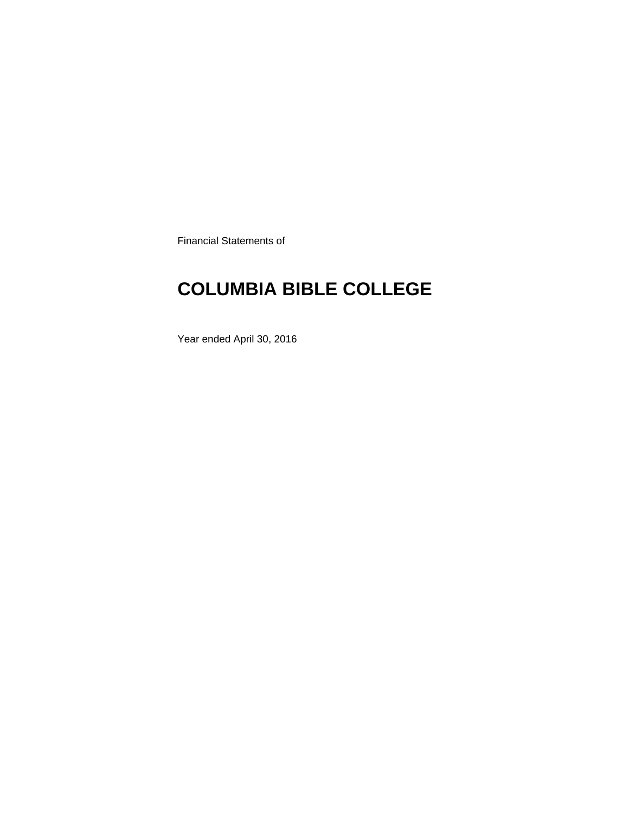Financial Statements of

# **COLUMBIA BIBLE COLLEGE**

Year ended April 30, 2016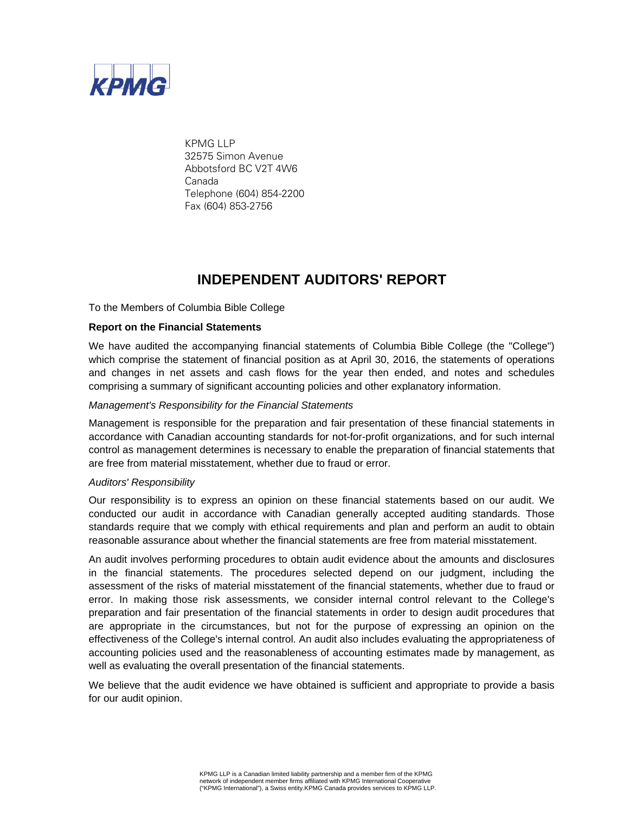

KPMG LLP 32575 Simon Avenue Abbotsford BC V2T 4W6 Canada Telephone (604) 854-2200 Fax (604) 853-2756

### **INDEPENDENT AUDITORS' REPORT**

To the Members of Columbia Bible College

#### **Report on the Financial Statements**

We have audited the accompanying financial statements of Columbia Bible College (the "College") which comprise the statement of financial position as at April 30, 2016, the statements of operations and changes in net assets and cash flows for the year then ended, and notes and schedules comprising a summary of significant accounting policies and other explanatory information.

#### *Management's Responsibility for the Financial Statements*

Management is responsible for the preparation and fair presentation of these financial statements in accordance with Canadian accounting standards for not-for-profit organizations, and for such internal control as management determines is necessary to enable the preparation of financial statements that are free from material misstatement, whether due to fraud or error.

#### *Auditors' Responsibility*

Our responsibility is to express an opinion on these financial statements based on our audit. We conducted our audit in accordance with Canadian generally accepted auditing standards. Those standards require that we comply with ethical requirements and plan and perform an audit to obtain reasonable assurance about whether the financial statements are free from material misstatement.

An audit involves performing procedures to obtain audit evidence about the amounts and disclosures in the financial statements. The procedures selected depend on our judgment, including the assessment of the risks of material misstatement of the financial statements, whether due to fraud or error. In making those risk assessments, we consider internal control relevant to the College's preparation and fair presentation of the financial statements in order to design audit procedures that are appropriate in the circumstances, but not for the purpose of expressing an opinion on the effectiveness of the College's internal control. An audit also includes evaluating the appropriateness of accounting policies used and the reasonableness of accounting estimates made by management, as well as evaluating the overall presentation of the financial statements.

We believe that the audit evidence we have obtained is sufficient and appropriate to provide a basis for our audit opinion.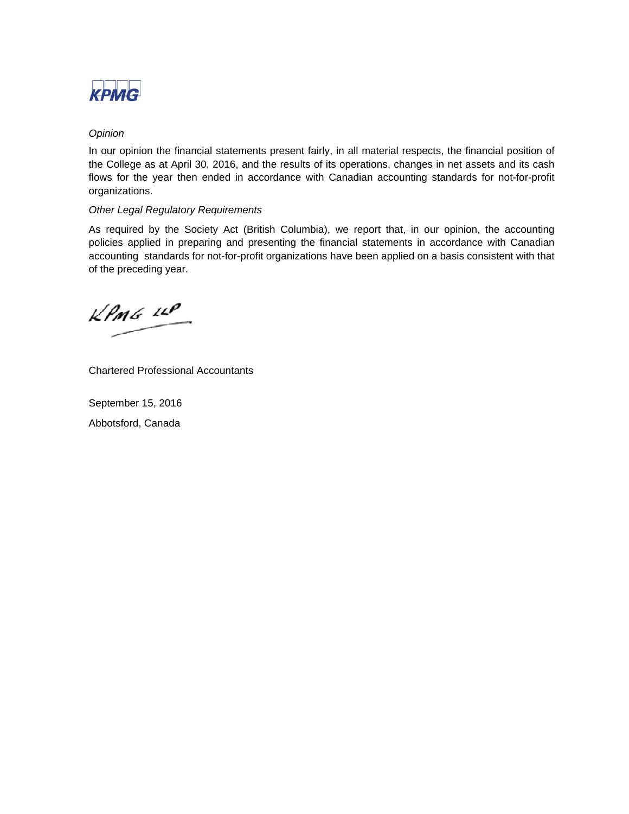

#### *Opinion*

In our opinion the financial statements present fairly, in all material respects, the financial position of the College as at April 30, 2016, and the results of its operations, changes in net assets and its cash flows for the year then ended in accordance with Canadian accounting standards for not-for-profit organizations.

### *Other Legal Regulatory Requirements*

As required by the Society Act (British Columbia), we report that, in our opinion, the accounting policies applied in preparing and presenting the financial statements in accordance with Canadian accounting standards for not-for-profit organizations have been applied on a basis consistent with that of the preceding year.

 $k$ *PMG*  $44$ 

Chartered Professional Accountants

September 15, 2016 Abbotsford, Canada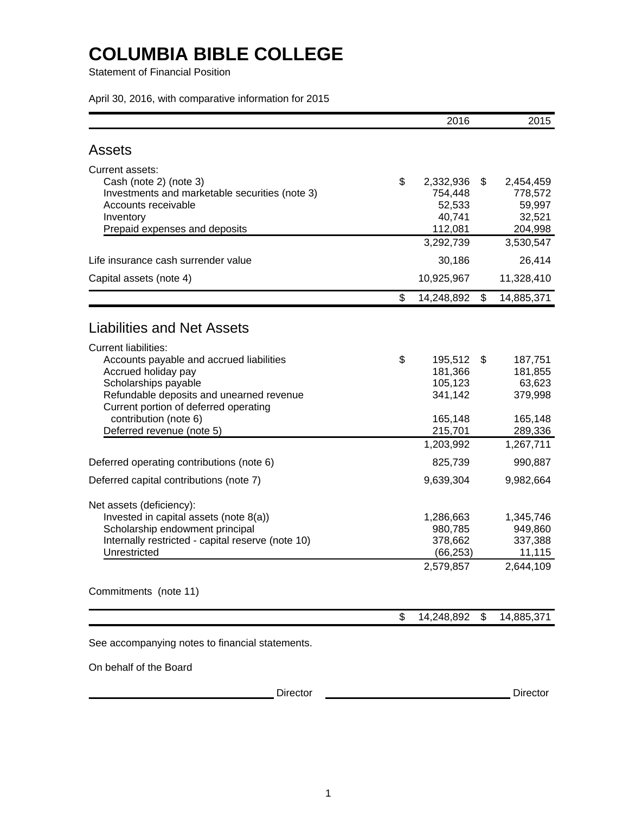Statement of Financial Position

April 30, 2016, with comparative information for 2015

|                                                                                                                                                                                                                                                                   | 2016                                                                   | 2015                                                                   |
|-------------------------------------------------------------------------------------------------------------------------------------------------------------------------------------------------------------------------------------------------------------------|------------------------------------------------------------------------|------------------------------------------------------------------------|
| Assets                                                                                                                                                                                                                                                            |                                                                        |                                                                        |
| Current assets:<br>Cash (note 2) (note 3)<br>Investments and marketable securities (note 3)<br>Accounts receivable<br>Inventory<br>Prepaid expenses and deposits                                                                                                  | \$<br>2,332,936<br>754,448<br>52,533<br>40,741<br>112,081<br>3,292,739 | \$<br>2,454,459<br>778,572<br>59,997<br>32,521<br>204,998<br>3,530,547 |
| Life insurance cash surrender value                                                                                                                                                                                                                               | 30,186                                                                 | 26,414                                                                 |
| Capital assets (note 4)                                                                                                                                                                                                                                           | 10,925,967                                                             | 11,328,410                                                             |
|                                                                                                                                                                                                                                                                   | \$<br>14,248,892                                                       | \$<br>14,885,371                                                       |
| <b>Liabilities and Net Assets</b>                                                                                                                                                                                                                                 |                                                                        |                                                                        |
| <b>Current liabilities:</b><br>Accounts payable and accrued liabilities<br>Accrued holiday pay<br>Scholarships payable<br>Refundable deposits and unearned revenue<br>Current portion of deferred operating<br>contribution (note 6)<br>Deferred revenue (note 5) | \$<br>195,512<br>181,366<br>105,123<br>341,142<br>165,148<br>215,701   | \$<br>187,751<br>181,855<br>63,623<br>379,998<br>165,148<br>289,336    |
| Deferred operating contributions (note 6)                                                                                                                                                                                                                         | 1,203,992<br>825,739                                                   | 1,267,711<br>990,887                                                   |
| Deferred capital contributions (note 7)                                                                                                                                                                                                                           | 9,639,304                                                              | 9,982,664                                                              |
| Net assets (deficiency):<br>Invested in capital assets (note 8(a))<br>Scholarship endowment principal<br>Internally restricted - capital reserve (note 10)<br>Unrestricted                                                                                        | 1,286,663<br>980,785<br>378,662<br>(66, 253)<br>2,579,857              | 1,345,746<br>949,860<br>337,388<br>11,115<br>2,644,109                 |
| Commitments (note 11)                                                                                                                                                                                                                                             |                                                                        |                                                                        |
|                                                                                                                                                                                                                                                                   | \$<br>14,248,892                                                       | \$<br>14,885,371                                                       |
| See accompanying notes to financial statements.                                                                                                                                                                                                                   |                                                                        |                                                                        |
| On behalf of the Board                                                                                                                                                                                                                                            |                                                                        |                                                                        |

Director Director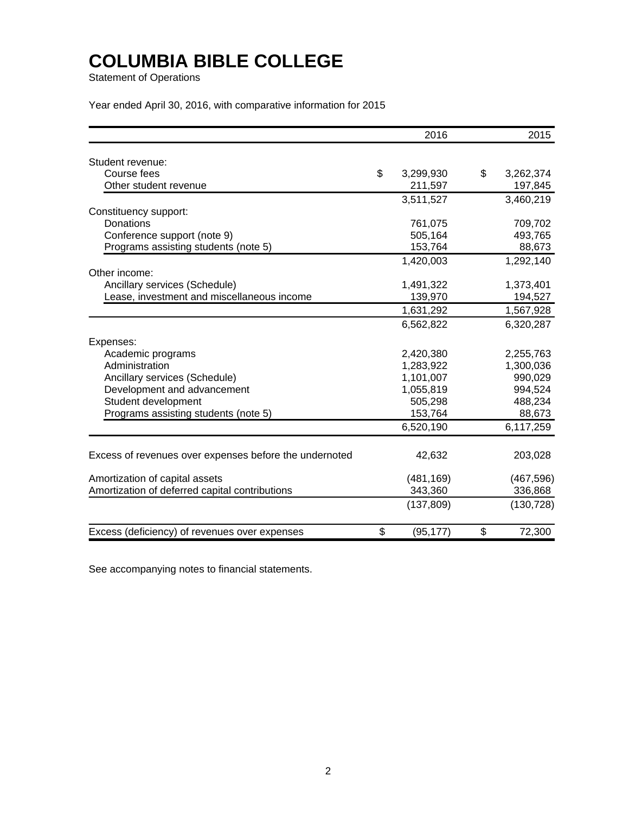Statement of Operations

Year ended April 30, 2016, with comparative information for 2015

|                                                        | 2016 |            |    |            |  |  |
|--------------------------------------------------------|------|------------|----|------------|--|--|
| Student revenue:                                       |      |            |    |            |  |  |
| Course fees                                            | \$   | 3,299,930  | \$ | 3,262,374  |  |  |
| Other student revenue                                  |      | 211,597    |    | 197,845    |  |  |
|                                                        |      | 3,511,527  |    | 3,460,219  |  |  |
| Constituency support:                                  |      |            |    |            |  |  |
| Donations                                              |      | 761,075    |    | 709,702    |  |  |
| Conference support (note 9)                            |      | 505,164    |    | 493,765    |  |  |
| Programs assisting students (note 5)                   |      | 153,764    |    | 88,673     |  |  |
|                                                        |      | 1,420,003  |    | 1,292,140  |  |  |
| Other income:                                          |      |            |    |            |  |  |
| Ancillary services (Schedule)                          |      | 1,491,322  |    | 1,373,401  |  |  |
| Lease, investment and miscellaneous income             |      | 139,970    |    | 194,527    |  |  |
|                                                        |      | 1,631,292  |    | 1,567,928  |  |  |
|                                                        |      | 6,562,822  |    | 6,320,287  |  |  |
| Expenses:                                              |      |            |    |            |  |  |
| Academic programs                                      |      | 2,420,380  |    | 2,255,763  |  |  |
| Administration                                         |      | 1,283,922  |    | 1,300,036  |  |  |
| Ancillary services (Schedule)                          |      | 1,101,007  |    | 990,029    |  |  |
| Development and advancement                            |      | 1,055,819  |    | 994,524    |  |  |
| Student development                                    |      | 505,298    |    | 488,234    |  |  |
| Programs assisting students (note 5)                   |      | 153,764    |    | 88,673     |  |  |
|                                                        |      | 6,520,190  |    | 6,117,259  |  |  |
| Excess of revenues over expenses before the undernoted |      | 42,632     |    | 203,028    |  |  |
|                                                        |      |            |    |            |  |  |
| Amortization of capital assets                         |      | (481, 169) |    | (467, 596) |  |  |
| Amortization of deferred capital contributions         |      | 343,360    |    | 336,868    |  |  |
|                                                        |      | (137, 809) |    | (130, 728) |  |  |
| Excess (deficiency) of revenues over expenses          | \$   | (95, 177)  | \$ | 72,300     |  |  |

See accompanying notes to financial statements.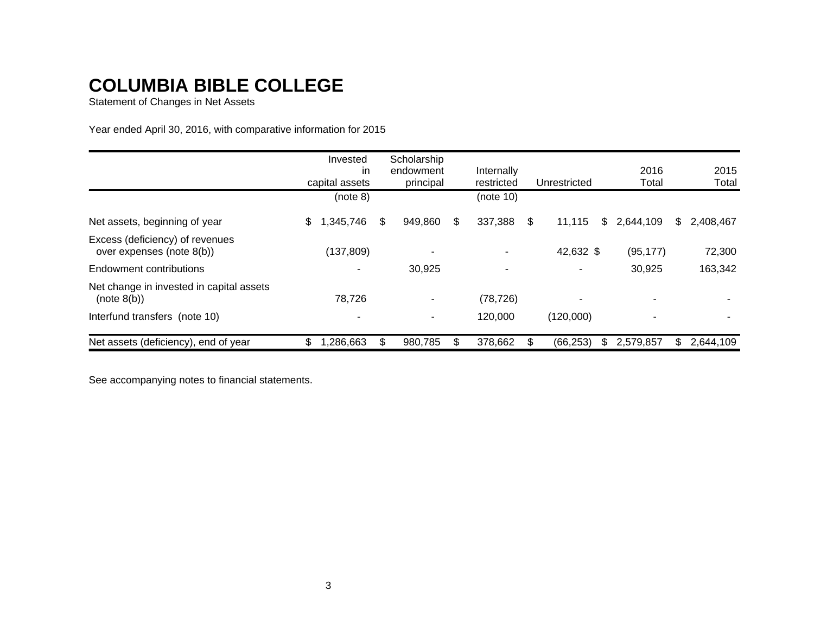Statement of Changes in Net Assets

Year ended April 30, 2016, with comparative information for 2015

|                                                              | Invested<br>in<br>capital assets | Scholarship<br>endowment<br>principal |    | Internally<br>restricted | Unrestricted | 2016<br>Total   |    | 2015<br>Total |
|--------------------------------------------------------------|----------------------------------|---------------------------------------|----|--------------------------|--------------|-----------------|----|---------------|
|                                                              | (note 8)                         |                                       |    | (note 10)                |              |                 |    |               |
| Net assets, beginning of year                                | \$<br>,345,746                   | \$<br>949,860                         | \$ | 337,388                  | \$<br>11,115 | \$<br>2,644,109 | S. | 2,408,467     |
| Excess (deficiency) of revenues<br>over expenses (note 8(b)) | (137, 809)                       |                                       |    |                          | 42,632 \$    | (95, 177)       |    | 72,300        |
| Endowment contributions                                      |                                  | 30,925                                |    |                          | ۰            | 30,925          |    | 163,342       |
| Net change in invested in capital assets<br>(note 8(b))      | 78,726                           | ٠                                     |    | (78, 726)                | ٠            |                 |    |               |
| Interfund transfers (note 10)                                |                                  | $\overline{\phantom{a}}$              |    | 120,000                  | (120,000)    | ۰               |    |               |
| Net assets (deficiency), end of year                         | \$<br>286,663,                   | 980,785                               | S  | 378,662                  | (66, 253)    | \$<br>2,579,857 | \$ | 2,644,109     |

See accompanying notes to financial statements.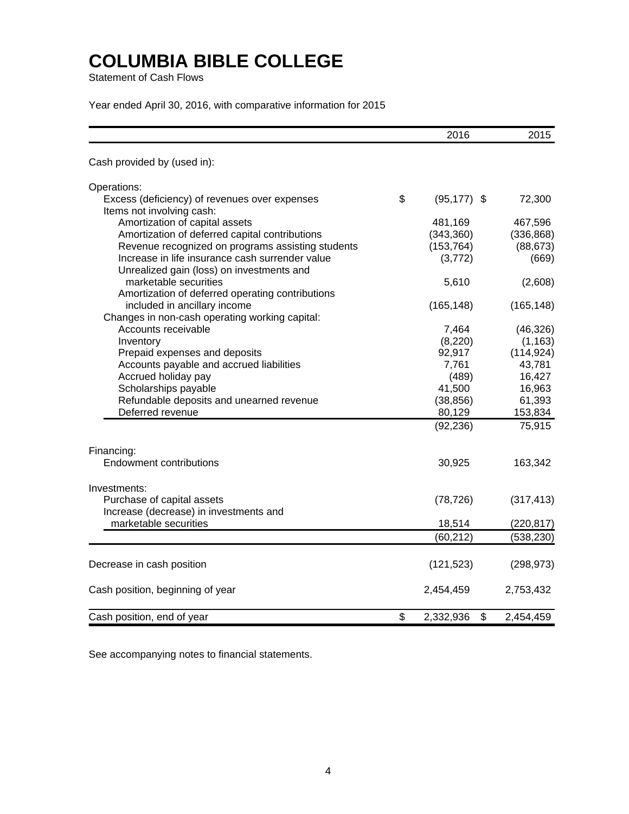Statement of Cash Flows

Year ended April 30, 2016, with comparative information for 2015

|                                                                                              | 2016                  | 2015       |
|----------------------------------------------------------------------------------------------|-----------------------|------------|
| Cash provided by (used in):                                                                  |                       |            |
| Operations:                                                                                  |                       |            |
| Excess (deficiency) of revenues over expenses<br>Items not involving cash:                   | \$<br>$(95, 177)$ \$  | 72,300     |
| Amortization of capital assets                                                               | 481,169               | 467,596    |
| Amortization of deferred capital contributions                                               | (343, 360)            | (336, 868) |
| Revenue recognized on programs assisting students                                            | (153, 764)            | (88, 673)  |
| Increase in life insurance cash surrender value<br>Unrealized gain (loss) on investments and | (3, 772)              | (669)      |
| marketable securities<br>Amortization of deferred operating contributions                    | 5,610                 | (2,608)    |
| included in ancillary income                                                                 | (165, 148)            | (165, 148) |
| Changes in non-cash operating working capital:                                               |                       |            |
| Accounts receivable                                                                          | 7,464                 | (46, 326)  |
| Inventory                                                                                    | (8,220)               | (1, 163)   |
| Prepaid expenses and deposits                                                                | 92,917                | (114, 924) |
| Accounts payable and accrued liabilities                                                     | 7,761                 | 43,781     |
| Accrued holiday pay                                                                          | (489)                 | 16,427     |
| Scholarships payable                                                                         | 41,500                | 16,963     |
| Refundable deposits and unearned revenue                                                     | (38, 856)             | 61,393     |
| Deferred revenue                                                                             | 80,129                | 153,834    |
|                                                                                              | (92, 236)             | 75,915     |
| Financing:                                                                                   |                       |            |
| <b>Endowment contributions</b>                                                               | 30,925                | 163,342    |
| Investments:                                                                                 |                       |            |
| Purchase of capital assets                                                                   | (78, 726)             | (317, 413) |
| Increase (decrease) in investments and                                                       |                       |            |
| marketable securities                                                                        | 18,514                | (220, 817) |
|                                                                                              | (60, 212)             | (538, 230) |
| Decrease in cash position                                                                    | (121, 523)            | (298, 973) |
| Cash position, beginning of year                                                             | 2,454,459             | 2,753,432  |
| Cash position, end of year                                                                   | \$<br>\$<br>2,332,936 | 2,454,459  |

See accompanying notes to financial statements.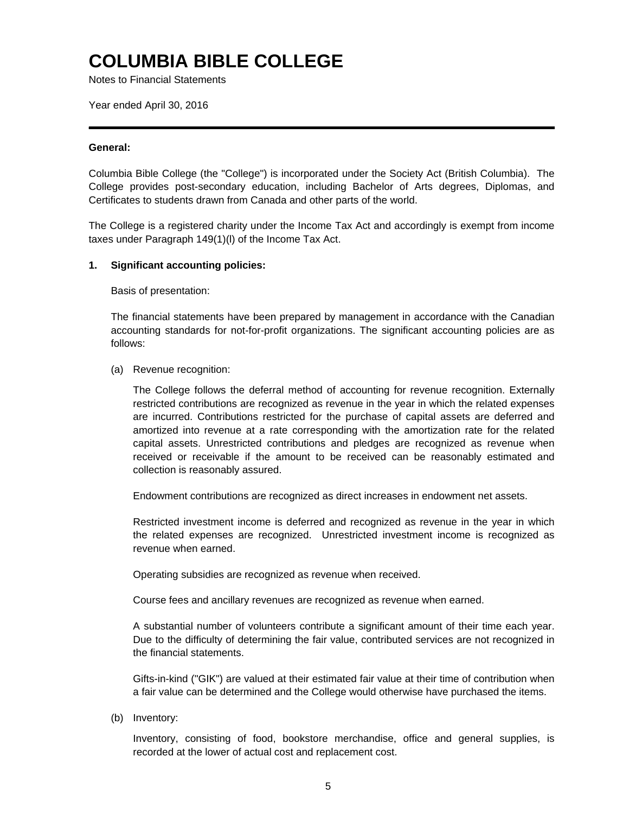Notes to Financial Statements

Year ended April 30, 2016

#### **General:**

Columbia Bible College (the "College") is incorporated under the Society Act (British Columbia). The College provides post-secondary education, including Bachelor of Arts degrees, Diplomas, and Certificates to students drawn from Canada and other parts of the world.

The College is a registered charity under the Income Tax Act and accordingly is exempt from income taxes under Paragraph 149(1)(l) of the Income Tax Act.

#### **1. Significant accounting policies:**

Basis of presentation:

The financial statements have been prepared by management in accordance with the Canadian accounting standards for not-for-profit organizations. The significant accounting policies are as follows:

(a) Revenue recognition:

The College follows the deferral method of accounting for revenue recognition. Externally restricted contributions are recognized as revenue in the year in which the related expenses are incurred. Contributions restricted for the purchase of capital assets are deferred and amortized into revenue at a rate corresponding with the amortization rate for the related capital assets. Unrestricted contributions and pledges are recognized as revenue when received or receivable if the amount to be received can be reasonably estimated and collection is reasonably assured.

Endowment contributions are recognized as direct increases in endowment net assets.

Restricted investment income is deferred and recognized as revenue in the year in which the related expenses are recognized. Unrestricted investment income is recognized as revenue when earned.

Operating subsidies are recognized as revenue when received.

Course fees and ancillary revenues are recognized as revenue when earned.

A substantial number of volunteers contribute a significant amount of their time each year. Due to the difficulty of determining the fair value, contributed services are not recognized in the financial statements.

Gifts-in-kind ("GIK") are valued at their estimated fair value at their time of contribution when a fair value can be determined and the College would otherwise have purchased the items.

(b) Inventory:

Inventory, consisting of food, bookstore merchandise, office and general supplies, is recorded at the lower of actual cost and replacement cost.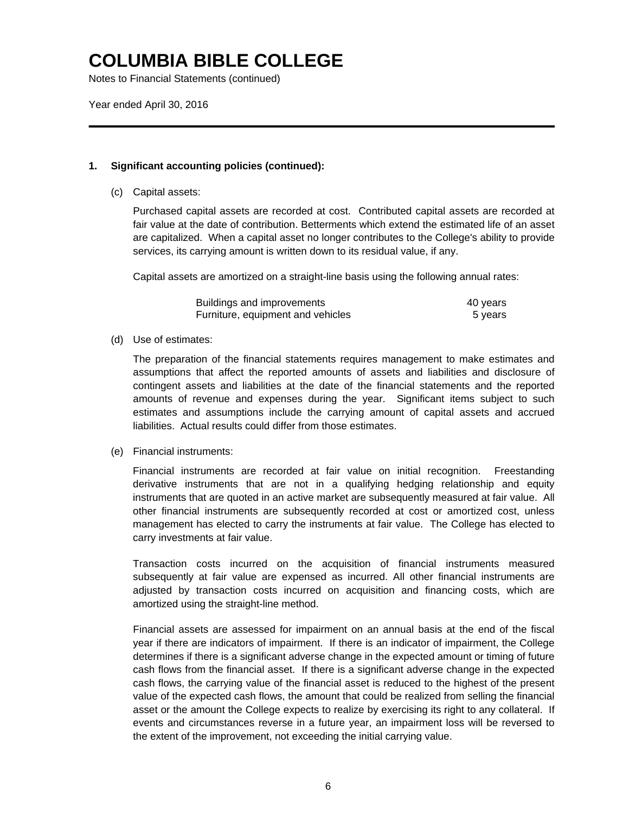Notes to Financial Statements (continued)

Year ended April 30, 2016

### **1. Significant accounting policies (continued):**

(c) Capital assets:

Purchased capital assets are recorded at cost. Contributed capital assets are recorded at fair value at the date of contribution. Betterments which extend the estimated life of an asset are capitalized. When a capital asset no longer contributes to the College's ability to provide services, its carrying amount is written down to its residual value, if any.

Capital assets are amortized on a straight-line basis using the following annual rates:

| Buildings and improvements        | 40 years |
|-----------------------------------|----------|
| Furniture, equipment and vehicles | 5 vears  |

#### (d) Use of estimates:

The preparation of the financial statements requires management to make estimates and assumptions that affect the reported amounts of assets and liabilities and disclosure of contingent assets and liabilities at the date of the financial statements and the reported amounts of revenue and expenses during the year. Significant items subject to such estimates and assumptions include the carrying amount of capital assets and accrued liabilities. Actual results could differ from those estimates.

#### (e) Financial instruments:

Financial instruments are recorded at fair value on initial recognition. Freestanding derivative instruments that are not in a qualifying hedging relationship and equity instruments that are quoted in an active market are subsequently measured at fair value. All other financial instruments are subsequently recorded at cost or amortized cost, unless management has elected to carry the instruments at fair value. The College has elected to carry investments at fair value.

Transaction costs incurred on the acquisition of financial instruments measured subsequently at fair value are expensed as incurred. All other financial instruments are adjusted by transaction costs incurred on acquisition and financing costs, which are amortized using the straight-line method.

Financial assets are assessed for impairment on an annual basis at the end of the fiscal year if there are indicators of impairment. If there is an indicator of impairment, the College determines if there is a significant adverse change in the expected amount or timing of future cash flows from the financial asset. If there is a significant adverse change in the expected cash flows, the carrying value of the financial asset is reduced to the highest of the present value of the expected cash flows, the amount that could be realized from selling the financial asset or the amount the College expects to realize by exercising its right to any collateral. If events and circumstances reverse in a future year, an impairment loss will be reversed to the extent of the improvement, not exceeding the initial carrying value.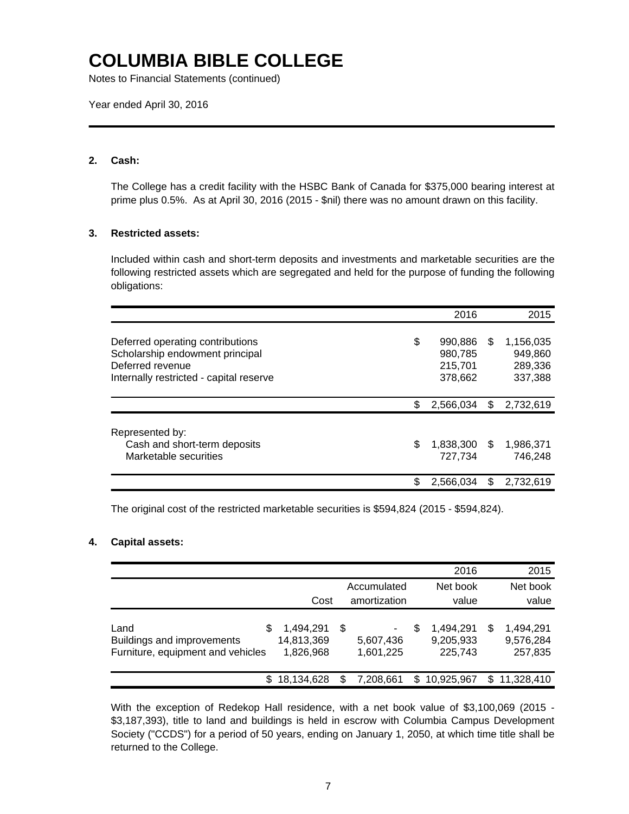Notes to Financial Statements (continued)

Year ended April 30, 2016

### **2. Cash:**

The College has a credit facility with the HSBC Bank of Canada for \$375,000 bearing interest at prime plus 0.5%. As at April 30, 2016 (2015 - \$nil) there was no amount drawn on this facility.

### **3. Restricted assets:**

Included within cash and short-term deposits and investments and marketable securities are the following restricted assets which are segregated and held for the purpose of funding the following obligations:

|                                                                                                                                    | 2016                                           |     | 2015                                       |
|------------------------------------------------------------------------------------------------------------------------------------|------------------------------------------------|-----|--------------------------------------------|
| Deferred operating contributions<br>Scholarship endowment principal<br>Deferred revenue<br>Internally restricted - capital reserve | \$<br>990.886<br>980,785<br>215,701<br>378,662 | \$  | 1,156,035<br>949,860<br>289,336<br>337,388 |
|                                                                                                                                    | \$<br>2,566,034                                | \$  | 2,732,619                                  |
| Represented by:<br>Cash and short-term deposits<br>Marketable securities                                                           | \$<br>1,838,300<br>727.734                     | \$. | 1,986,371<br>746.248                       |
|                                                                                                                                    | \$<br>2,566,034                                | \$  | 2,732,619                                  |

The original cost of the restricted marketable securities is \$594,824 (2015 - \$594,824).

### **4. Capital assets:**

|                                                                                |                                      |                               | 2016                                   |                                        | 2015  |
|--------------------------------------------------------------------------------|--------------------------------------|-------------------------------|----------------------------------------|----------------------------------------|-------|
|                                                                                |                                      | Accumulated                   | Net book                               | Net book                               |       |
|                                                                                | Cost                                 | amortization                  | value                                  |                                        | value |
| Land<br>\$.<br>Buildings and improvements<br>Furniture, equipment and vehicles | 1,494,291<br>14,813,369<br>1,826,968 | \$.<br>5,607,436<br>1,601,225 | l.494.291<br>S<br>9,205,933<br>225,743 | 1,494,291<br>S<br>9,576,284<br>257,835 |       |
|                                                                                | 18,134,628                           | 7.208.661                     | 10,925,967<br>S                        | \$11,328,410                           |       |

With the exception of Redekop Hall residence, with a net book value of \$3,100,069 (2015 - \$3,187,393), title to land and buildings is held in escrow with Columbia Campus Development Society ("CCDS") for a period of 50 years, ending on January 1, 2050, at which time title shall be returned to the College.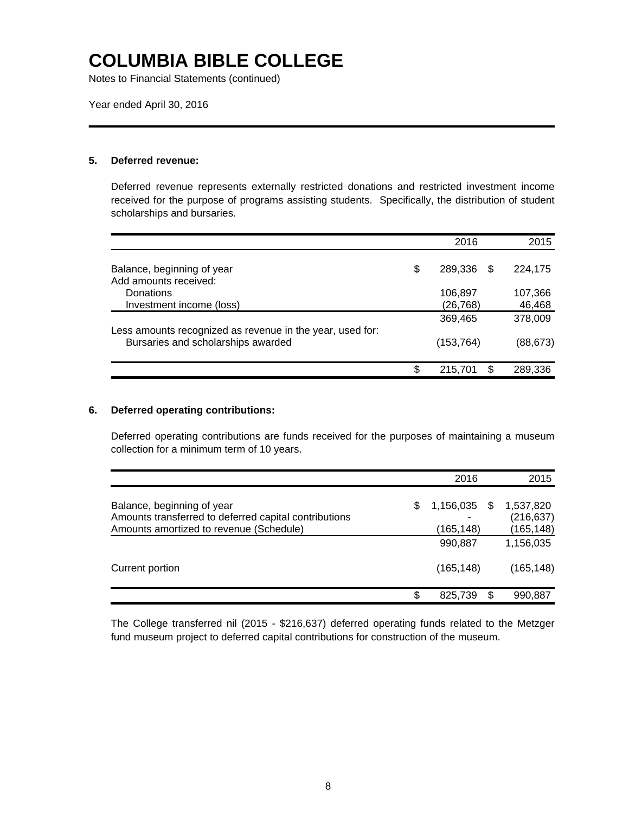Notes to Financial Statements (continued)

Year ended April 30, 2016

#### **5. Deferred revenue:**

Deferred revenue represents externally restricted donations and restricted investment income received for the purpose of programs assisting students. Specifically, the distribution of student scholarships and bursaries.

|                                                           | 2016          | 2015          |
|-----------------------------------------------------------|---------------|---------------|
|                                                           |               |               |
| Balance, beginning of year                                | \$<br>289.336 | \$<br>224.175 |
| Add amounts received:                                     |               |               |
| Donations                                                 | 106,897       | 107,366       |
| Investment income (loss)                                  | (26, 768)     | 46,468        |
|                                                           | 369,465       | 378,009       |
| Less amounts recognized as revenue in the year, used for: |               |               |
| Bursaries and scholarships awarded                        | (153,764)     | (88, 673)     |
|                                                           |               |               |
|                                                           | \$<br>215,701 | \$<br>289,336 |

### **6. Deferred operating contributions:**

Deferred operating contributions are funds received for the purposes of maintaining a museum collection for a minimum term of 10 years.

|                                                       |   | 2016       |      | 2015       |
|-------------------------------------------------------|---|------------|------|------------|
|                                                       |   |            |      |            |
| Balance, beginning of year                            | S | 1,156,035  | - \$ | 1,537,820  |
| Amounts transferred to deferred capital contributions |   |            |      | (216, 637) |
| Amounts amortized to revenue (Schedule)               |   | (165, 148) |      | (165, 148) |
|                                                       |   | 990,887    |      | 1,156,035  |
| Current portion                                       |   | (165, 148) |      | (165, 148) |
|                                                       | S | 825,739    | \$   | 990,887    |

The College transferred nil (2015 - \$216,637) deferred operating funds related to the Metzger fund museum project to deferred capital contributions for construction of the museum.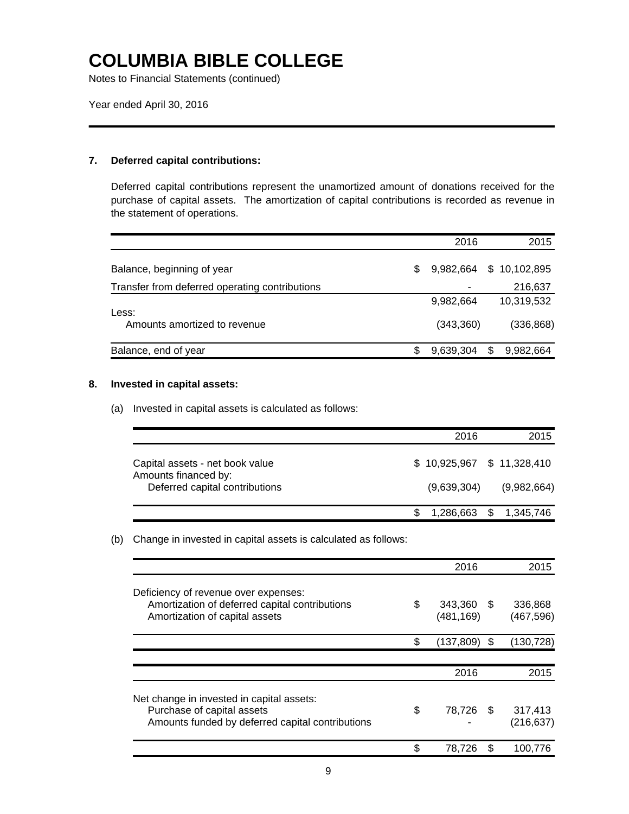Notes to Financial Statements (continued)

Year ended April 30, 2016

#### **7. Deferred capital contributions:**

Deferred capital contributions represent the unamortized amount of donations received for the purchase of capital assets. The amortization of capital contributions is recorded as revenue in the statement of operations.

|                                                |   | 2016      | 2015            |
|------------------------------------------------|---|-----------|-----------------|
|                                                |   |           |                 |
| Balance, beginning of year                     | S | 9.982.664 | \$10,102,895    |
| Transfer from deferred operating contributions |   | ۰         | 216,637         |
|                                                |   | 9,982,664 | 10,319,532      |
| Less:<br>Amounts amortized to revenue          |   | (343,360) | (336, 868)      |
| Balance, end of year                           |   | 9,639,304 | \$<br>9,982,664 |

### **8. Invested in capital assets:**

(a) Invested in capital assets is calculated as follows:

|                                                                                           | 2016        | 2015                                       |
|-------------------------------------------------------------------------------------------|-------------|--------------------------------------------|
| Capital assets - net book value<br>Amounts financed by:<br>Deferred capital contributions | (9,639,304) | $$10,925,967$ $$11,328,410$<br>(9,982,664) |
|                                                                                           |             | 1,286,663 \$ 1,345,746                     |

(b) Change in invested in capital assets is calculated as follows:

|                                                                                                                             | 2016                        |               | 2015                  |
|-----------------------------------------------------------------------------------------------------------------------------|-----------------------------|---------------|-----------------------|
| Deficiency of revenue over expenses:<br>Amortization of deferred capital contributions<br>Amortization of capital assets    | \$<br>343,360<br>(481, 169) | $\mathcal{S}$ | 336,868<br>(467, 596) |
|                                                                                                                             | \$<br>(137,809) \$          |               | (130, 728)            |
|                                                                                                                             |                             |               |                       |
|                                                                                                                             | 2016                        |               | 2015                  |
| Net change in invested in capital assets:<br>Purchase of capital assets<br>Amounts funded by deferred capital contributions | \$<br>78,726 \$             |               | 317,413<br>(216, 637) |
|                                                                                                                             | \$<br>78,726                |               | 100.776               |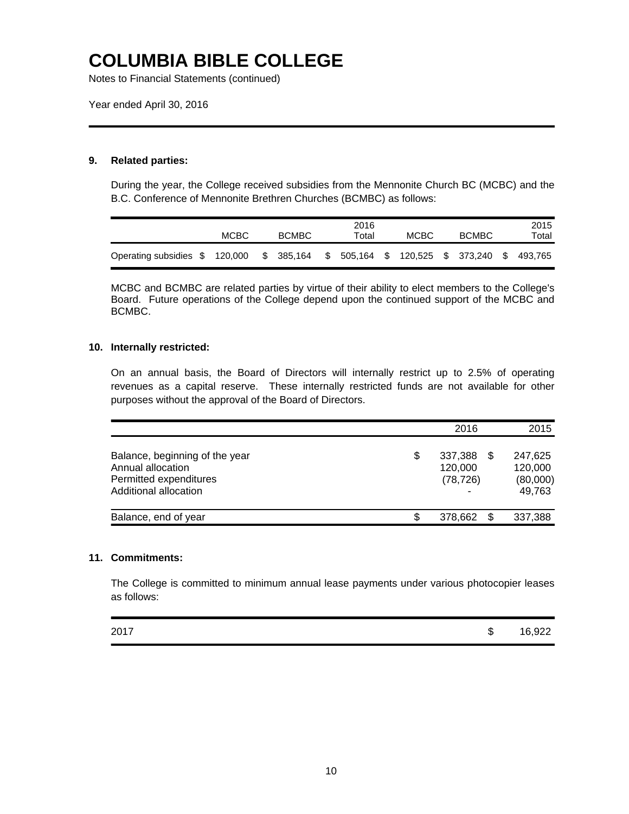Notes to Financial Statements (continued)

Year ended April 30, 2016

### **9. Related parties:**

During the year, the College received subsidies from the Mennonite Church BC (MCBC) and the B.C. Conference of Mennonite Brethren Churches (BCMBC) as follows:

|                               | <b>MCBC</b> | <b>BCMBC</b> |            |  | 2016<br>Total                    | MCBC |  | <b>BCMBC</b> |          | 2015<br>Total |
|-------------------------------|-------------|--------------|------------|--|----------------------------------|------|--|--------------|----------|---------------|
| Operating subsidies \$120,000 |             |              | \$ 385,164 |  | \$ 505,164 \$ 120,525 \$ 373,240 |      |  |              | <b>S</b> | 493.765       |

MCBC and BCMBC are related parties by virtue of their ability to elect members to the College's Board. Future operations of the College depend upon the continued support of the MCBC and BCMBC.

#### **10. Internally restricted:**

On an annual basis, the Board of Directors will internally restrict up to 2.5% of operating revenues as a capital reserve. These internally restricted funds are not available for other purposes without the approval of the Board of Directors.

|                                                                                                        | 2016                                       | 2015                                           |
|--------------------------------------------------------------------------------------------------------|--------------------------------------------|------------------------------------------------|
| Balance, beginning of the year<br>Annual allocation<br>Permitted expenditures<br>Additional allocation | \$<br>337,388<br>120,000<br>(78, 726)<br>- | \$<br>247.625<br>120,000<br>(80,000)<br>49,763 |
| Balance, end of year                                                                                   | 378.662                                    | 337,388                                        |

#### **11. Commitments:**

The College is committed to minimum annual lease payments under various photocopier leases as follows:

| 2017 | æ<br>۰D | 16,922 |
|------|---------|--------|
|------|---------|--------|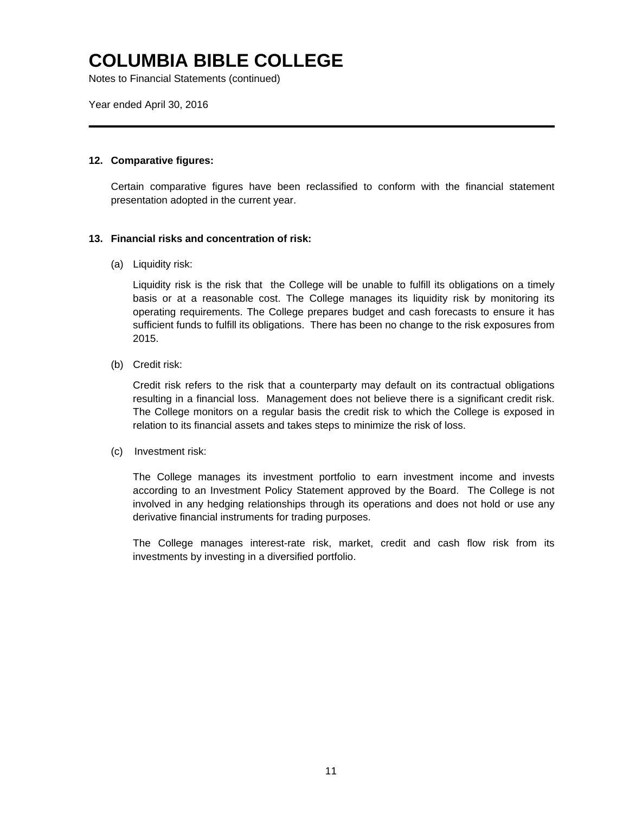Notes to Financial Statements (continued)

Year ended April 30, 2016

### **12. Comparative figures:**

Certain comparative figures have been reclassified to conform with the financial statement presentation adopted in the current year.

#### **13. Financial risks and concentration of risk:**

(a) Liquidity risk:

Liquidity risk is the risk that the College will be unable to fulfill its obligations on a timely basis or at a reasonable cost. The College manages its liquidity risk by monitoring its operating requirements. The College prepares budget and cash forecasts to ensure it has sufficient funds to fulfill its obligations. There has been no change to the risk exposures from 2015.

(b) Credit risk:

Credit risk refers to the risk that a counterparty may default on its contractual obligations resulting in a financial loss. Management does not believe there is a significant credit risk. The College monitors on a regular basis the credit risk to which the College is exposed in relation to its financial assets and takes steps to minimize the risk of loss.

(c) Investment risk:

The College manages its investment portfolio to earn investment income and invests according to an Investment Policy Statement approved by the Board. The College is not involved in any hedging relationships through its operations and does not hold or use any derivative financial instruments for trading purposes.

The College manages interest-rate risk, market, credit and cash flow risk from its investments by investing in a diversified portfolio.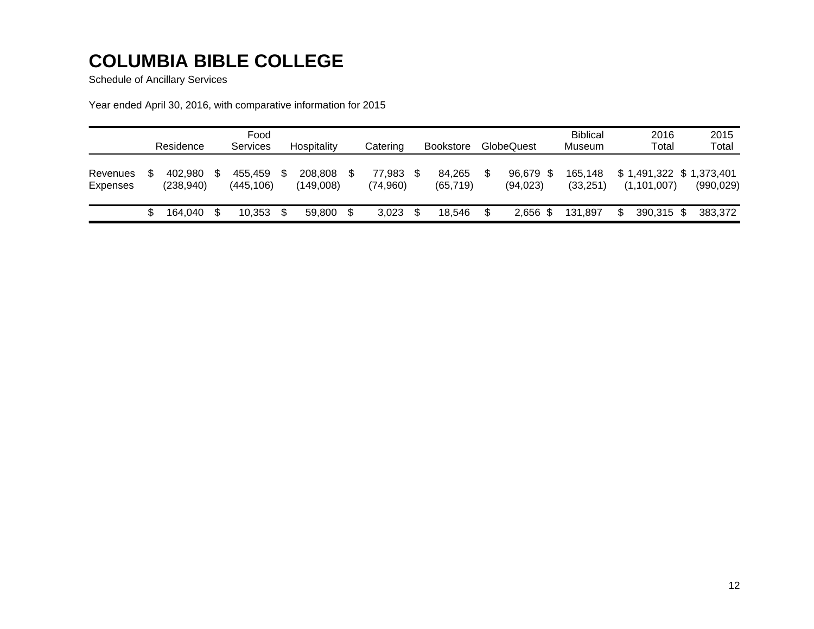Schedule of Ancillary Services

Year ended April 30, 2016, with comparative information for 2015

|                      | Residence |                       | Food<br>Hospitality<br>Services |                      |  | Catering             | <b>Bookstore</b>   |  | GlobeQuest          |  | <b>Biblical</b><br>Museum | 2016<br>Total        |  | 2015<br>Total                              |            |
|----------------------|-----------|-----------------------|---------------------------------|----------------------|--|----------------------|--------------------|--|---------------------|--|---------------------------|----------------------|--|--------------------------------------------|------------|
| Revenues<br>Expenses |           | 402.980<br>(238, 940) |                                 | 455.459<br>(445.106) |  | 208,808<br>(149.008) | 77.983<br>(74,960) |  | 84.265<br>(65, 719) |  | 96.679 \$<br>(94, 023)    | 165.148<br>(33, 251) |  | $$1,491,322$ $$1,373,401$<br>(1, 101, 007) | (990, 029) |
|                      |           | 164.040               |                                 | 10,353               |  | 59,800               | \$<br>3.023        |  | 18.546              |  | $2,656$ \$                | 131.897              |  | 390,315 \$                                 | 383.372    |